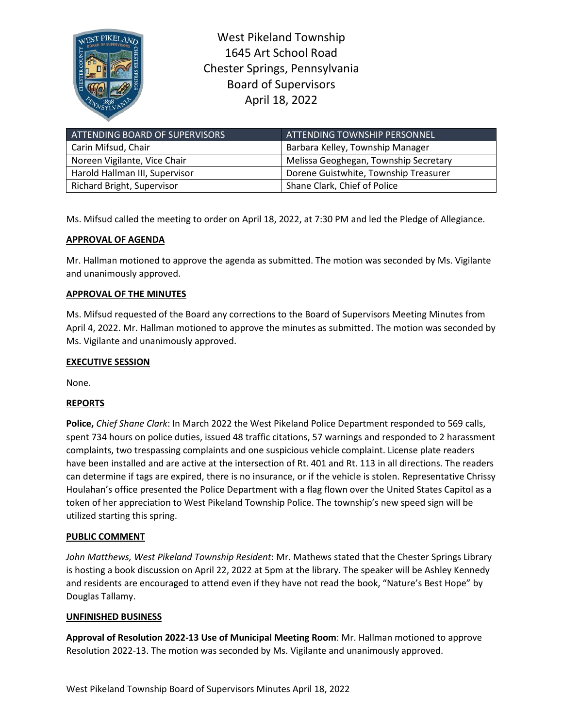

West Pikeland Township 1645 Art School Road Chester Springs, Pennsylvania Board of Supervisors April 18, 2022

| ATTENDING BOARD OF SUPERVISORS | ATTENDING TOWNSHIP PERSONNEL          |
|--------------------------------|---------------------------------------|
| Carin Mifsud, Chair            | Barbara Kelley, Township Manager      |
| Noreen Vigilante, Vice Chair   | Melissa Geoghegan, Township Secretary |
| Harold Hallman III, Supervisor | Dorene Guistwhite, Township Treasurer |
| Richard Bright, Supervisor     | Shane Clark, Chief of Police          |

Ms. Mifsud called the meeting to order on April 18, 2022, at 7:30 PM and led the Pledge of Allegiance.

# **APPROVAL OF AGENDA**

Mr. Hallman motioned to approve the agenda as submitted. The motion was seconded by Ms. Vigilante and unanimously approved.

## **APPROVAL OF THE MINUTES**

Ms. Mifsud requested of the Board any corrections to the Board of Supervisors Meeting Minutes from April 4, 2022. Mr. Hallman motioned to approve the minutes as submitted. The motion was seconded by Ms. Vigilante and unanimously approved.

#### **EXECUTIVE SESSION**

None.

## **REPORTS**

**Police,** *Chief Shane Clark*: In March 2022 the West Pikeland Police Department responded to 569 calls, spent 734 hours on police duties, issued 48 traffic citations, 57 warnings and responded to 2 harassment complaints, two trespassing complaints and one suspicious vehicle complaint. License plate readers have been installed and are active at the intersection of Rt. 401 and Rt. 113 in all directions. The readers can determine if tags are expired, there is no insurance, or if the vehicle is stolen. Representative Chrissy Houlahan's office presented the Police Department with a flag flown over the United States Capitol as a token of her appreciation to West Pikeland Township Police. The township's new speed sign will be utilized starting this spring.

## **PUBLIC COMMENT**

*John Matthews, West Pikeland Township Resident*: Mr. Mathews stated that the Chester Springs Library is hosting a book discussion on April 22, 2022 at 5pm at the library. The speaker will be Ashley Kennedy and residents are encouraged to attend even if they have not read the book, "Nature's Best Hope" by Douglas Tallamy.

#### **UNFINISHED BUSINESS**

**Approval of Resolution 2022-13 Use of Municipal Meeting Room**: Mr. Hallman motioned to approve Resolution 2022-13. The motion was seconded by Ms. Vigilante and unanimously approved.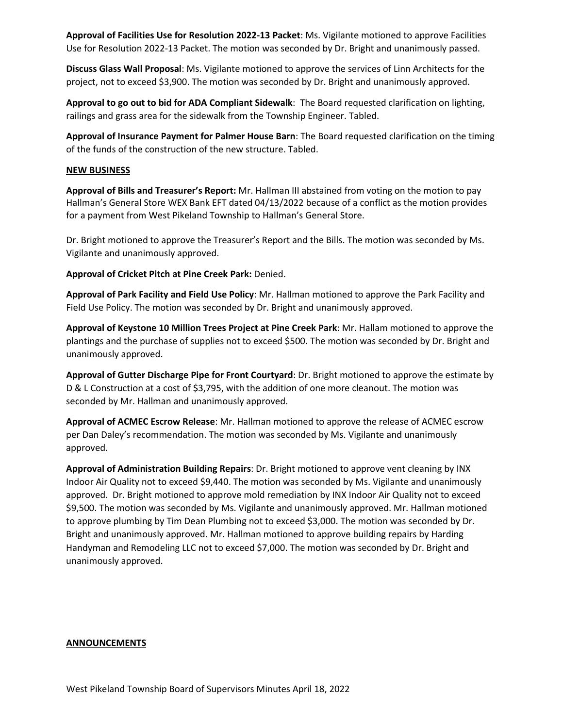**Approval of Facilities Use for Resolution 2022-13 Packet**: Ms. Vigilante motioned to approve Facilities Use for Resolution 2022-13 Packet. The motion was seconded by Dr. Bright and unanimously passed.

**Discuss Glass Wall Proposal**: Ms. Vigilante motioned to approve the services of Linn Architects for the project, not to exceed \$3,900. The motion was seconded by Dr. Bright and unanimously approved.

**Approval to go out to bid for ADA Compliant Sidewalk**: The Board requested clarification on lighting, railings and grass area for the sidewalk from the Township Engineer. Tabled.

**Approval of Insurance Payment for Palmer House Barn**: The Board requested clarification on the timing of the funds of the construction of the new structure. Tabled.

#### **NEW BUSINESS**

**Approval of Bills and Treasurer's Report:** Mr. Hallman III abstained from voting on the motion to pay Hallman's General Store WEX Bank EFT dated 04/13/2022 because of a conflict as the motion provides for a payment from West Pikeland Township to Hallman's General Store.

Dr. Bright motioned to approve the Treasurer's Report and the Bills. The motion was seconded by Ms. Vigilante and unanimously approved.

**Approval of Cricket Pitch at Pine Creek Park:** Denied.

**Approval of Park Facility and Field Use Policy**: Mr. Hallman motioned to approve the Park Facility and Field Use Policy. The motion was seconded by Dr. Bright and unanimously approved.

**Approval of Keystone 10 Million Trees Project at Pine Creek Park**: Mr. Hallam motioned to approve the plantings and the purchase of supplies not to exceed \$500. The motion was seconded by Dr. Bright and unanimously approved.

**Approval of Gutter Discharge Pipe for Front Courtyard**: Dr. Bright motioned to approve the estimate by D & L Construction at a cost of \$3,795, with the addition of one more cleanout. The motion was seconded by Mr. Hallman and unanimously approved.

**Approval of ACMEC Escrow Release**: Mr. Hallman motioned to approve the release of ACMEC escrow per Dan Daley's recommendation. The motion was seconded by Ms. Vigilante and unanimously approved.

**Approval of Administration Building Repairs**: Dr. Bright motioned to approve vent cleaning by INX Indoor Air Quality not to exceed \$9,440. The motion was seconded by Ms. Vigilante and unanimously approved. Dr. Bright motioned to approve mold remediation by INX Indoor Air Quality not to exceed \$9,500. The motion was seconded by Ms. Vigilante and unanimously approved. Mr. Hallman motioned to approve plumbing by Tim Dean Plumbing not to exceed \$3,000. The motion was seconded by Dr. Bright and unanimously approved. Mr. Hallman motioned to approve building repairs by Harding Handyman and Remodeling LLC not to exceed \$7,000. The motion was seconded by Dr. Bright and unanimously approved.

#### **ANNOUNCEMENTS**